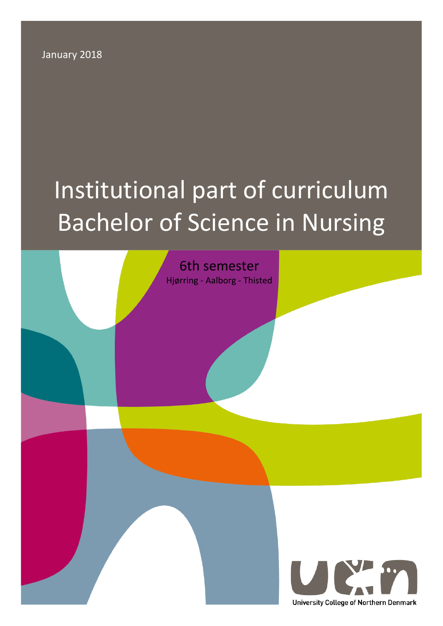January 2018

# Institutional part of curriculum Bachelor of Science in Nursing

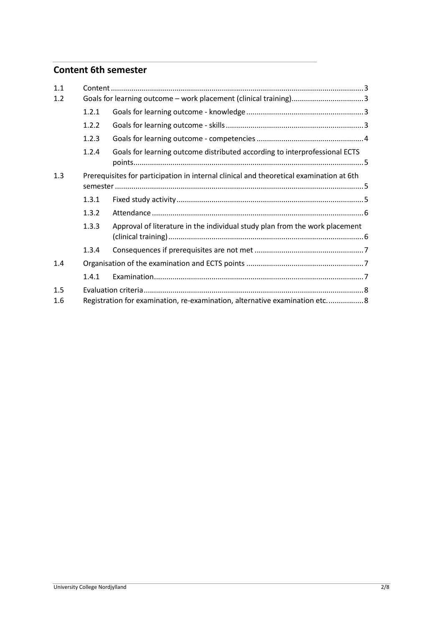# **Content 6th semester**

| 1.1        |                                                                                         |                                                                             |  |
|------------|-----------------------------------------------------------------------------------------|-----------------------------------------------------------------------------|--|
| 1.2        |                                                                                         |                                                                             |  |
|            | 1.2.1                                                                                   |                                                                             |  |
|            | 1.2.2                                                                                   |                                                                             |  |
|            | 1.2.3                                                                                   |                                                                             |  |
|            | 1.2.4                                                                                   | Goals for learning outcome distributed according to interprofessional ECTS  |  |
| 1.3        | Prerequisites for participation in internal clinical and theoretical examination at 6th |                                                                             |  |
|            | 1.3.1                                                                                   |                                                                             |  |
|            | 1.3.2                                                                                   |                                                                             |  |
|            | 1.3.3                                                                                   | Approval of literature in the individual study plan from the work placement |  |
|            | 1.3.4                                                                                   |                                                                             |  |
| 1.4        |                                                                                         |                                                                             |  |
|            | 1.4.1                                                                                   |                                                                             |  |
| 1.5<br>1.6 | Registration for examination, re-examination, alternative examination etc8              |                                                                             |  |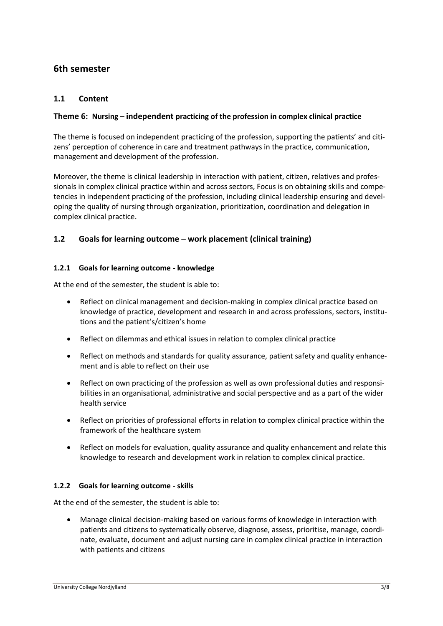# **6th semester**

#### <span id="page-2-0"></span>**1.1 Content**

#### **Theme 6: Nursing – independent practicing of the profession in complex clinical practice**

The theme is focused on independent practicing of the profession, supporting the patients' and citizens' perception of coherence in care and treatment pathways in the practice, communication, management and development of the profession.

Moreover, the theme is clinical leadership in interaction with patient, citizen, relatives and professionals in complex clinical practice within and across sectors, Focus is on obtaining skills and competencies in independent practicing of the profession, including clinical leadership ensuring and developing the quality of nursing through organization, prioritization, coordination and delegation in complex clinical practice.

#### <span id="page-2-1"></span>**1.2 Goals for learning outcome – work placement (clinical training)**

#### <span id="page-2-2"></span>**1.2.1 Goals for learning outcome - knowledge**

At the end of the semester, the student is able to:

- Reflect on clinical management and decision-making in complex clinical practice based on knowledge of practice, development and research in and across professions, sectors, institutions and the patient's/citizen's home
- Reflect on dilemmas and ethical issues in relation to complex clinical practice
- Reflect on methods and standards for quality assurance, patient safety and quality enhancement and is able to reflect on their use
- Reflect on own practicing of the profession as well as own professional duties and responsibilities in an organisational, administrative and social perspective and as a part of the wider health service
- Reflect on priorities of professional efforts in relation to complex clinical practice within the framework of the healthcare system
- Reflect on models for evaluation, quality assurance and quality enhancement and relate this knowledge to research and development work in relation to complex clinical practice.

#### <span id="page-2-3"></span>**1.2.2 Goals for learning outcome - skills**

At the end of the semester, the student is able to:

• Manage clinical decision-making based on various forms of knowledge in interaction with patients and citizens to systematically observe, diagnose, assess, prioritise, manage, coordinate, evaluate, document and adjust nursing care in complex clinical practice in interaction with patients and citizens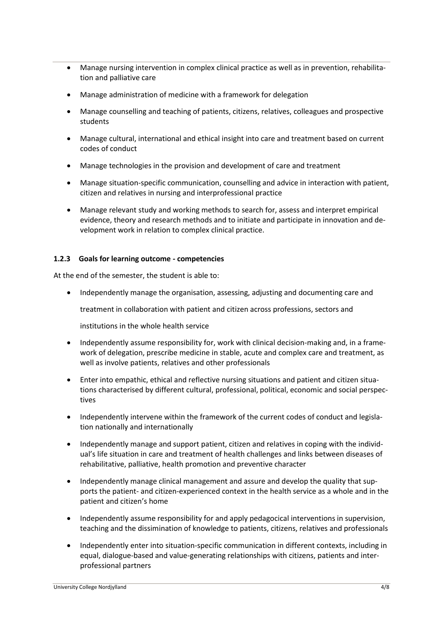- Manage nursing intervention in complex clinical practice as well as in prevention, rehabilitation and palliative care
- Manage administration of medicine with a framework for delegation
- Manage counselling and teaching of patients, citizens, relatives, colleagues and prospective students
- Manage cultural, international and ethical insight into care and treatment based on current codes of conduct
- Manage technologies in the provision and development of care and treatment
- Manage situation-specific communication, counselling and advice in interaction with patient, citizen and relatives in nursing and interprofessional practice
- Manage relevant study and working methods to search for, assess and interpret empirical evidence, theory and research methods and to initiate and participate in innovation and development work in relation to complex clinical practice.

#### <span id="page-3-0"></span>**1.2.3 Goals for learning outcome - competencies**

At the end of the semester, the student is able to:

• Independently manage the organisation, assessing, adjusting and documenting care and

treatment in collaboration with patient and citizen across professions, sectors and

institutions in the whole health service

- Independently assume responsibility for, work with clinical decision-making and, in a framework of delegation, prescribe medicine in stable, acute and complex care and treatment, as well as involve patients, relatives and other professionals
- Enter into empathic, ethical and reflective nursing situations and patient and citizen situations characterised by different cultural, professional, political, economic and social perspectives
- Independently intervene within the framework of the current codes of conduct and legislation nationally and internationally
- Independently manage and support patient, citizen and relatives in coping with the individual's life situation in care and treatment of health challenges and links between diseases of rehabilitative, palliative, health promotion and preventive character
- Independently manage clinical management and assure and develop the quality that supports the patient- and citizen-experienced context in the health service as a whole and in the patient and citizen's home
- Independently assume responsibility for and apply pedagocical interventions in supervision, teaching and the dissimination of knowledge to patients, citizens, relatives and professionals
- Independently enter into situation-specific communication in different contexts, including in equal, dialogue-based and value-generating relationships with citizens, patients and interprofessional partners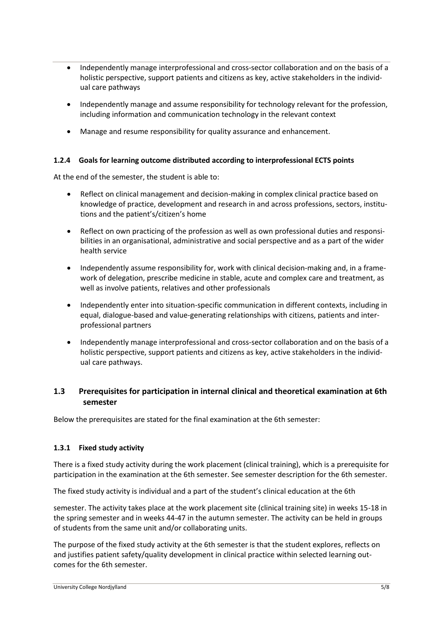- Independently manage interprofessional and cross-sector collaboration and on the basis of a holistic perspective, support patients and citizens as key, active stakeholders in the individual care pathways
- Independently manage and assume responsibility for technology relevant for the profession, including information and communication technology in the relevant context
- Manage and resume responsibility for quality assurance and enhancement.

#### <span id="page-4-0"></span>**1.2.4 Goals for learning outcome distributed according to interprofessional ECTS points**

At the end of the semester, the student is able to:

- Reflect on clinical management and decision-making in complex clinical practice based on knowledge of practice, development and research in and across professions, sectors, institutions and the patient's/citizen's home
- Reflect on own practicing of the profession as well as own professional duties and responsibilities in an organisational, administrative and social perspective and as a part of the wider health service
- Independently assume responsibility for, work with clinical decision-making and, in a framework of delegation, prescribe medicine in stable, acute and complex care and treatment, as well as involve patients, relatives and other professionals
- Independently enter into situation-specific communication in different contexts, including in equal, dialogue-based and value-generating relationships with citizens, patients and interprofessional partners
- Independently manage interprofessional and cross-sector collaboration and on the basis of a holistic perspective, support patients and citizens as key, active stakeholders in the individual care pathways.

## <span id="page-4-1"></span>**1.3 Prerequisites for participation in internal clinical and theoretical examination at 6th semester**

Below the prerequisites are stated for the final examination at the 6th semester:

#### <span id="page-4-2"></span>**1.3.1 Fixed study activity**

There is a fixed study activity during the work placement (clinical training), which is a prerequisite for participation in the examination at the 6th semester. See semester description for the 6th semester.

The fixed study activity is individual and a part of the student's clinical education at the 6th

semester. The activity takes place at the work placement site (clinical training site) in weeks 15-18 in the spring semester and in weeks 44-47 in the autumn semester. The activity can be held in groups of students from the same unit and/or collaborating units.

The purpose of the fixed study activity at the 6th semester is that the student explores, reflects on and justifies patient safety/quality development in clinical practice within selected learning outcomes for the 6th semester.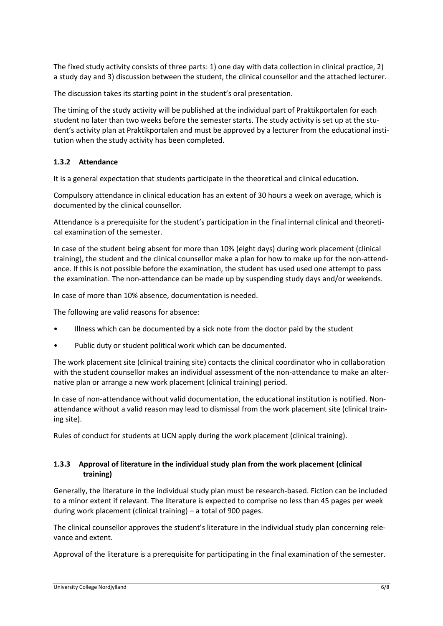The fixed study activity consists of three parts: 1) one day with data collection in clinical practice, 2) a study day and 3) discussion between the student, the clinical counsellor and the attached lecturer.

The discussion takes its starting point in the student's oral presentation.

The timing of the study activity will be published at the individual part of Praktikportalen for each student no later than two weeks before the semester starts. The study activity is set up at the student's activity plan at Praktikportalen and must be approved by a lecturer from the educational institution when the study activity has been completed.

#### <span id="page-5-0"></span>**1.3.2 Attendance**

It is a general expectation that students participate in the theoretical and clinical education.

Compulsory attendance in clinical education has an extent of 30 hours a week on average, which is documented by the clinical counsellor.

Attendance is a prerequisite for the student's participation in the final internal clinical and theoretical examination of the semester.

In case of the student being absent for more than 10% (eight days) during work placement (clinical training), the student and the clinical counsellor make a plan for how to make up for the non-attendance. If this is not possible before the examination, the student has used used one attempt to pass the examination. The non-attendance can be made up by suspending study days and/or weekends.

In case of more than 10% absence, documentation is needed.

The following are valid reasons for absence:

- Illness which can be documented by a sick note from the doctor paid by the student
- Public duty or student political work which can be documented.

The work placement site (clinical training site) contacts the clinical coordinator who in collaboration with the student counsellor makes an individual assessment of the non-attendance to make an alternative plan or arrange a new work placement (clinical training) period.

In case of non-attendance without valid documentation, the educational institution is notified. Nonattendance without a valid reason may lead to dismissal from the work placement site (clinical training site).

Rules of conduct for students at UCN apply during the work placement (clinical training).

#### <span id="page-5-1"></span>**1.3.3 Approval of literature in the individual study plan from the work placement (clinical training)**

Generally, the literature in the individual study plan must be research-based. Fiction can be included to a minor extent if relevant. The literature is expected to comprise no less than 45 pages per week during work placement (clinical training) – a total of 900 pages.

The clinical counsellor approves the student's literature in the individual study plan concerning relevance and extent.

Approval of the literature is a prerequisite for participating in the final examination of the semester.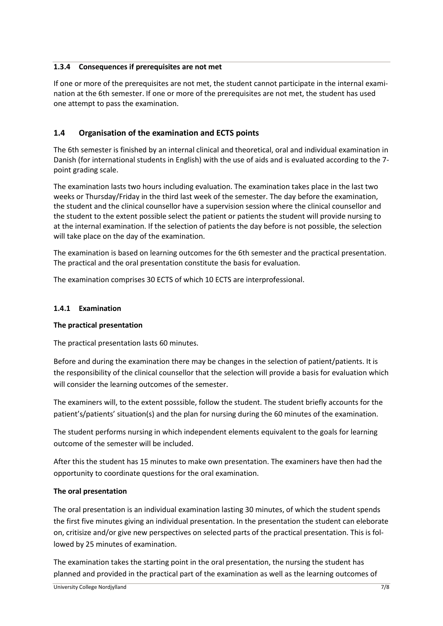#### <span id="page-6-0"></span>**1.3.4 Consequences if prerequisites are not met**

If one or more of the prerequisites are not met, the student cannot participate in the internal examination at the 6th semester. If one or more of the prerequisites are not met, the student has used one attempt to pass the examination.

## <span id="page-6-1"></span>**1.4 Organisation of the examination and ECTS points**

The 6th semester is finished by an internal clinical and theoretical, oral and individual examination in Danish (for international students in English) with the use of aids and is evaluated according to the 7 point grading scale.

The examination lasts two hours including evaluation. The examination takes place in the last two weeks or Thursday/Friday in the third last week of the semester. The day before the examination, the student and the clinical counsellor have a supervision session where the clinical counsellor and the student to the extent possible select the patient or patients the student will provide nursing to at the internal examination. If the selection of patients the day before is not possible, the selection will take place on the day of the examination.

The examination is based on learning outcomes for the 6th semester and the practical presentation. The practical and the oral presentation constitute the basis for evaluation.

The examination comprises 30 ECTS of which 10 ECTS are interprofessional.

#### <span id="page-6-2"></span>**1.4.1 Examination**

#### **The practical presentation**

The practical presentation lasts 60 minutes.

Before and during the examination there may be changes in the selection of patient/patients. It is the responsibility of the clinical counsellor that the selection will provide a basis for evaluation which will consider the learning outcomes of the semester.

The examiners will, to the extent posssible, follow the student. The student briefly accounts for the patient's/patients' situation(s) and the plan for nursing during the 60 minutes of the examination.

The student performs nursing in which independent elements equivalent to the goals for learning outcome of the semester will be included.

After this the student has 15 minutes to make own presentation. The examiners have then had the opportunity to coordinate questions for the oral examination.

#### **The oral presentation**

The oral presentation is an individual examination lasting 30 minutes, of which the student spends the first five minutes giving an individual presentation. In the presentation the student can eleborate on, critisize and/or give new perspectives on selected parts of the practical presentation. This is followed by 25 minutes of examination.

The examination takes the starting point in the oral presentation, the nursing the student has planned and provided in the practical part of the examination as well as the learning outcomes of